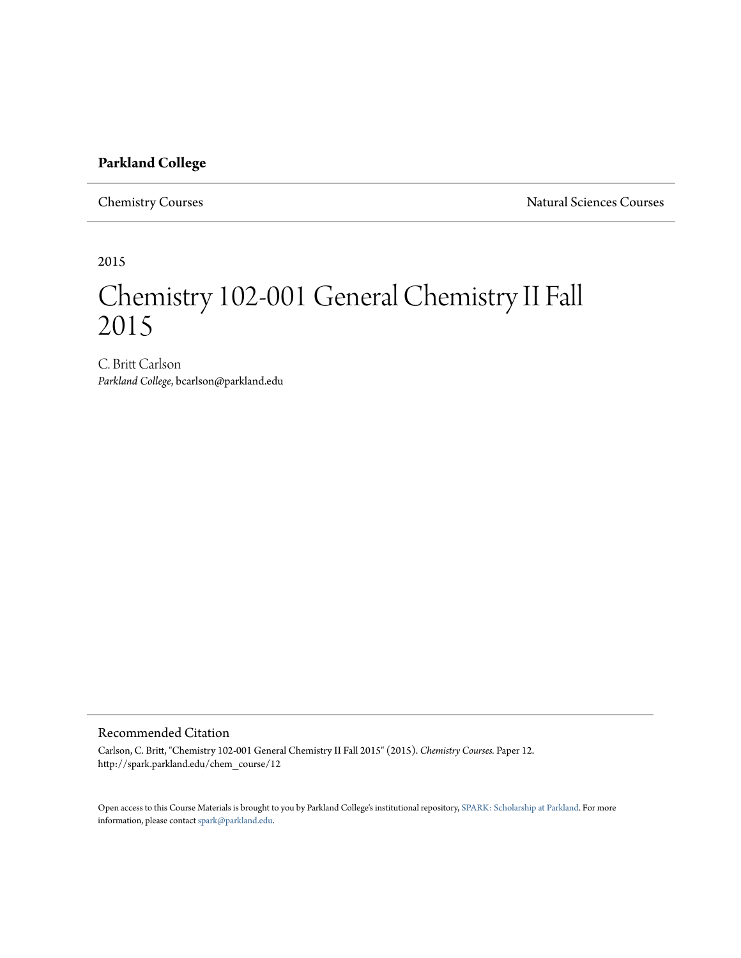#### **Parkland College**

Chemistry Courses Natural Sciences Courses

2015

# Chemistry 102-001 General Chemistry II Fall 2015

C. Britt Carlson *Parkland College*, bcarlson@parkland.edu

#### Recommended Citation

Carlson, C. Britt, "Chemistry 102-001 General Chemistry II Fall 2015" (2015). *Chemistry Courses.* Paper 12. http://spark.parkland.edu/chem\_course/12

Open access to this Course Materials is brought to you by Parkland College's institutional repository, [SPARK: Scholarship at Parkland](http://spark.parkland.edu/). For more information, please contact [spark@parkland.edu](mailto:spark@parkland.edu).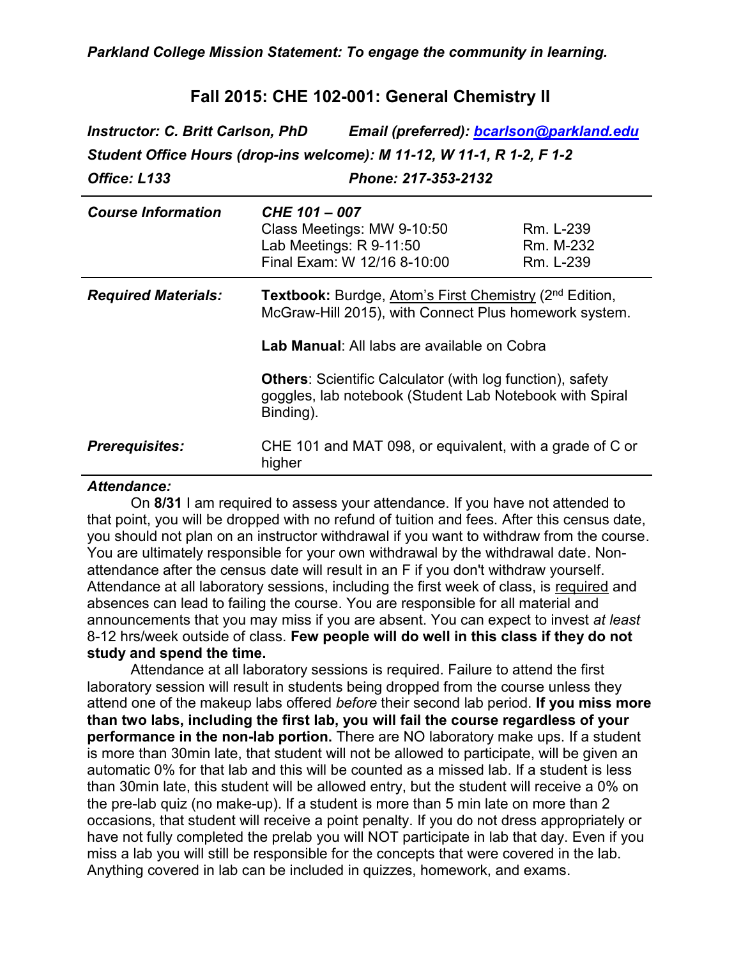## **Fall 2015: CHE 102-001: General Chemistry II**

*Instructor: C. Britt Carlson, PhD Email (preferred): [bcarlson@parkland.edu](mailto:bcarlson@parkland.edu) Student Office Hours (drop-ins welcome): M 11-12, W 11-1, R 1-2, F 1-2 Office: L133 Phone: 217-353-2132*

| <b>Course Information</b>  | CHE 101 - 007<br>Class Meetings: MW 9-10:50<br>Lab Meetings: R 9-11:50<br>Final Exam: W 12/16 8-10:00                                                                      | Rm. L-239<br>Rm. M-232<br>Rm. L-239 |
|----------------------------|----------------------------------------------------------------------------------------------------------------------------------------------------------------------------|-------------------------------------|
| <b>Required Materials:</b> | Textbook: Burdge, Atom's First Chemistry (2 <sup>nd</sup> Edition,<br>McGraw-Hill 2015), with Connect Plus homework system.<br>Lab Manual: All labs are available on Cobra |                                     |
|                            | <b>Others: Scientific Calculator (with log function), safety</b><br>goggles, lab notebook (Student Lab Notebook with Spiral<br>Binding).                                   |                                     |
| <b>Prerequisites:</b>      | CHE 101 and MAT 098, or equivalent, with a grade of C or<br>higher                                                                                                         |                                     |

#### *Attendance:*

On **8/31** I am required to assess your attendance. If you have not attended to that point, you will be dropped with no refund of tuition and fees. After this census date, you should not plan on an instructor withdrawal if you want to withdraw from the course. You are ultimately responsible for your own withdrawal by the withdrawal date. Nonattendance after the census date will result in an F if you don't withdraw yourself. Attendance at all laboratory sessions, including the first week of class, is required and absences can lead to failing the course. You are responsible for all material and announcements that you may miss if you are absent. You can expect to invest *at least* 8-12 hrs/week outside of class. **Few people will do well in this class if they do not study and spend the time.**

Attendance at all laboratory sessions is required. Failure to attend the first laboratory session will result in students being dropped from the course unless they attend one of the makeup labs offered *before* their second lab period. **If you miss more than two labs, including the first lab, you will fail the course regardless of your performance in the non-lab portion.** There are NO laboratory make ups. If a student is more than 30min late, that student will not be allowed to participate, will be given an automatic 0% for that lab and this will be counted as a missed lab. If a student is less than 30min late, this student will be allowed entry, but the student will receive a 0% on the pre-lab quiz (no make-up). If a student is more than 5 min late on more than 2 occasions, that student will receive a point penalty. If you do not dress appropriately or have not fully completed the prelab you will NOT participate in lab that day. Even if you miss a lab you will still be responsible for the concepts that were covered in the lab. Anything covered in lab can be included in quizzes, homework, and exams.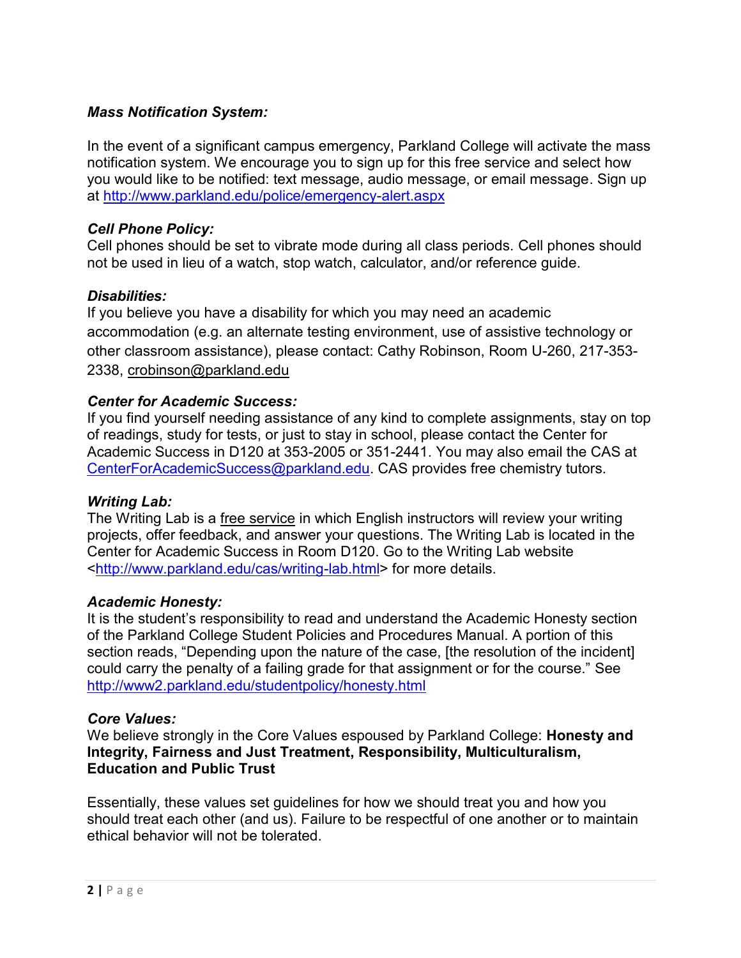#### *Mass Notification System:*

In the event of a significant campus emergency, Parkland College will activate the mass notification system. We encourage you to sign up for this free service and select how you would like to be notified: text message, audio message, or email message. Sign up at<http://www.parkland.edu/police/emergency-alert.aspx>

#### *Cell Phone Policy:*

Cell phones should be set to vibrate mode during all class periods. Cell phones should not be used in lieu of a watch, stop watch, calculator, and/or reference guide.

#### *Disabilities:*

If you believe you have a disability for which you may need an academic accommodation (e.g. an alternate testing environment, use of assistive technology or other classroom assistance), please contact: Cathy Robinson, Room U-260, 217-353- 2338, crobinson@parkland.edu

#### *Center for Academic Success:*

If you find yourself needing assistance of any kind to complete assignments, stay on top of readings, study for tests, or just to stay in school, please contact the Center for Academic Success in D120 at 353-2005 or 351-2441. You may also email the CAS at [CenterForAcademicSuccess@parkland.edu.](mailto:CenterForAcademicSuccess@parkland.edu) CAS provides free chemistry tutors.

#### *Writing Lab:*

The Writing Lab is a free service in which English instructors will review your writing projects, offer feedback, and answer your questions. The Writing Lab is located in the Center for Academic Success in Room D120. Go to the Writing Lab website <http://www.parkland.edu/cas/writing-lab.html> for more details.

#### *Academic Honesty:*

It is the student's responsibility to read and understand the Academic Honesty section of the Parkland College Student Policies and Procedures Manual. A portion of this section reads, "Depending upon the nature of the case, [the resolution of the incident] could carry the penalty of a failing grade for that assignment or for the course." See <http://www2.parkland.edu/studentpolicy/honesty.html>

#### *Core Values:*

We believe strongly in the Core Values espoused by Parkland College: **Honesty and Integrity, Fairness and Just Treatment, Responsibility, Multiculturalism, Education and Public Trust**

Essentially, these values set guidelines for how we should treat you and how you should treat each other (and us). Failure to be respectful of one another or to maintain ethical behavior will not be tolerated.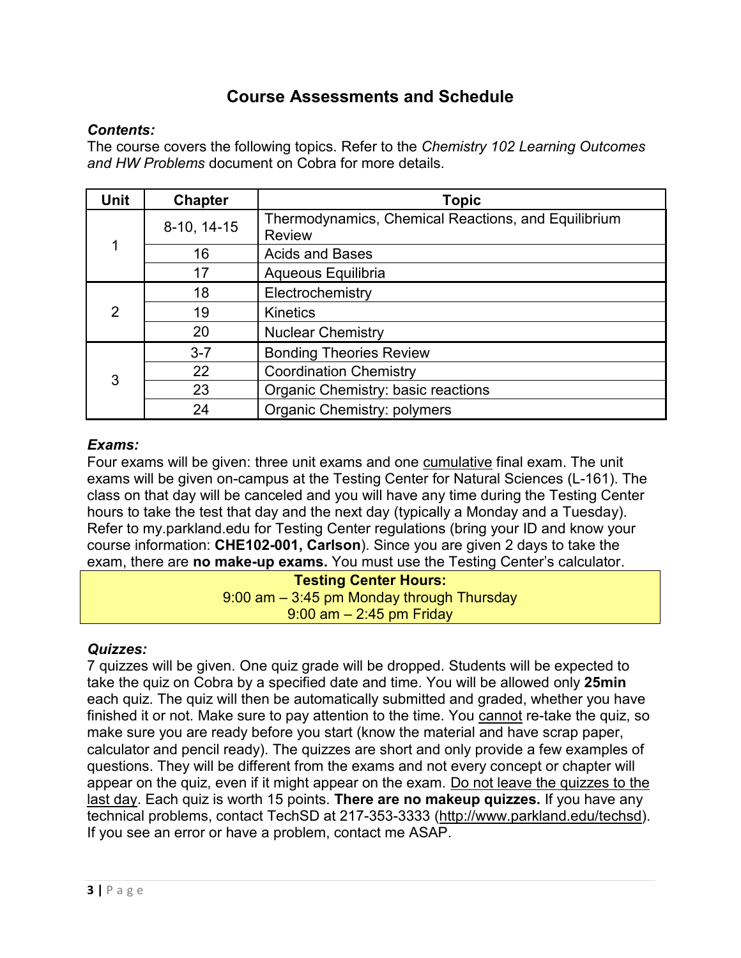# **Course Assessments and Schedule**

#### *Contents:*

The course covers the following topics. Refer to the *Chemistry 102 Learning Outcomes and HW Problems* document on Cobra for more details.

| Unit           | <b>Chapter</b> | <b>Topic</b>                                                         |  |
|----------------|----------------|----------------------------------------------------------------------|--|
|                | 8-10, 14-15    | Thermodynamics, Chemical Reactions, and Equilibrium<br><b>Review</b> |  |
|                | 16             | <b>Acids and Bases</b>                                               |  |
|                | 17             | Aqueous Equilibria                                                   |  |
|                | 18             | Electrochemistry                                                     |  |
| $\overline{2}$ | 19             | <b>Kinetics</b>                                                      |  |
|                | 20             | <b>Nuclear Chemistry</b>                                             |  |
|                | $3 - 7$        | <b>Bonding Theories Review</b>                                       |  |
| 3              | 22             | <b>Coordination Chemistry</b>                                        |  |
|                | 23             | Organic Chemistry: basic reactions                                   |  |
|                | 24             | <b>Organic Chemistry: polymers</b>                                   |  |

## *Exams:*

Four exams will be given: three unit exams and one cumulative final exam. The unit exams will be given on-campus at the Testing Center for Natural Sciences (L-161). The class on that day will be canceled and you will have any time during the Testing Center hours to take the test that day and the next day (typically a Monday and a Tuesday). Refer to my.parkland.edu for Testing Center regulations (bring your ID and know your course information: **CHE102-001, Carlson**). Since you are given 2 days to take the exam, there are **no make-up exams.** You must use the Testing Center's calculator.

**Testing Center Hours:** 9:00 am – 3:45 pm Monday through Thursday 9:00 am – 2:45 pm Friday

#### *Quizzes:*

7 quizzes will be given. One quiz grade will be dropped. Students will be expected to take the quiz on Cobra by a specified date and time. You will be allowed only **25min** each quiz. The quiz will then be automatically submitted and graded, whether you have finished it or not. Make sure to pay attention to the time. You cannot re-take the quiz, so make sure you are ready before you start (know the material and have scrap paper, calculator and pencil ready). The quizzes are short and only provide a few examples of questions. They will be different from the exams and not every concept or chapter will appear on the quiz, even if it might appear on the exam. Do not leave the quizzes to the last day. Each quiz is worth 15 points. **There are no makeup quizzes.** If you have any technical problems, contact TechSD at 217-353-3333 [\(http://www.parkland.edu/techsd\)](http://www.parkland.edu/star). If you see an error or have a problem, contact me ASAP.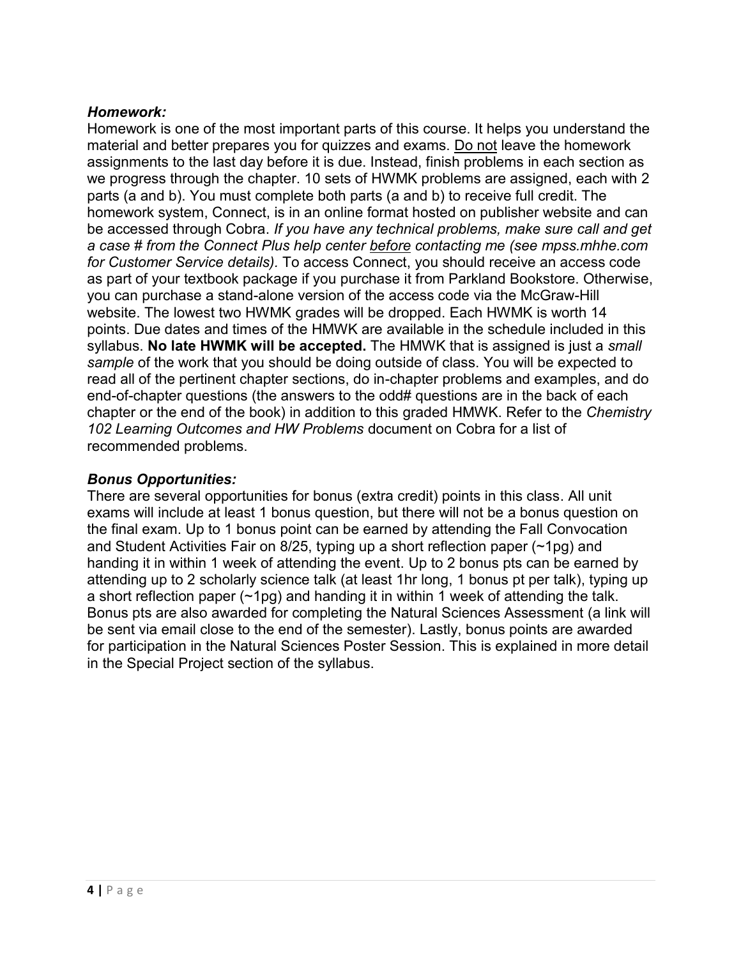### *Homework:*

Homework is one of the most important parts of this course. It helps you understand the material and better prepares you for quizzes and exams. Do not leave the homework assignments to the last day before it is due. Instead, finish problems in each section as we progress through the chapter. 10 sets of HWMK problems are assigned, each with 2 parts (a and b). You must complete both parts (a and b) to receive full credit. The homework system, Connect, is in an online format hosted on publisher website and can be accessed through Cobra. *If you have any technical problems, make sure call and get a case # from the Connect Plus help center before contacting me (see mpss.mhhe.com for Customer Service details).* To access Connect, you should receive an access code as part of your textbook package if you purchase it from Parkland Bookstore. Otherwise, you can purchase a stand-alone version of the access code via the McGraw-Hill website. The lowest two HWMK grades will be dropped. Each HWMK is worth 14 points. Due dates and times of the HMWK are available in the schedule included in this syllabus. **No late HWMK will be accepted.** The HMWK that is assigned is just a *small sample* of the work that you should be doing outside of class. You will be expected to read all of the pertinent chapter sections, do in-chapter problems and examples, and do end-of-chapter questions (the answers to the odd# questions are in the back of each chapter or the end of the book) in addition to this graded HMWK. Refer to the *Chemistry 102 Learning Outcomes and HW Problems* document on Cobra for a list of recommended problems.

#### *Bonus Opportunities:*

There are several opportunities for bonus (extra credit) points in this class. All unit exams will include at least 1 bonus question, but there will not be a bonus question on the final exam. Up to 1 bonus point can be earned by attending the Fall Convocation and Student Activities Fair on 8/25, typing up a short reflection paper (~1pg) and handing it in within 1 week of attending the event. Up to 2 bonus pts can be earned by attending up to 2 scholarly science talk (at least 1hr long, 1 bonus pt per talk), typing up a short reflection paper (~1pg) and handing it in within 1 week of attending the talk. Bonus pts are also awarded for completing the Natural Sciences Assessment (a link will be sent via email close to the end of the semester). Lastly, bonus points are awarded for participation in the Natural Sciences Poster Session. This is explained in more detail in the Special Project section of the syllabus.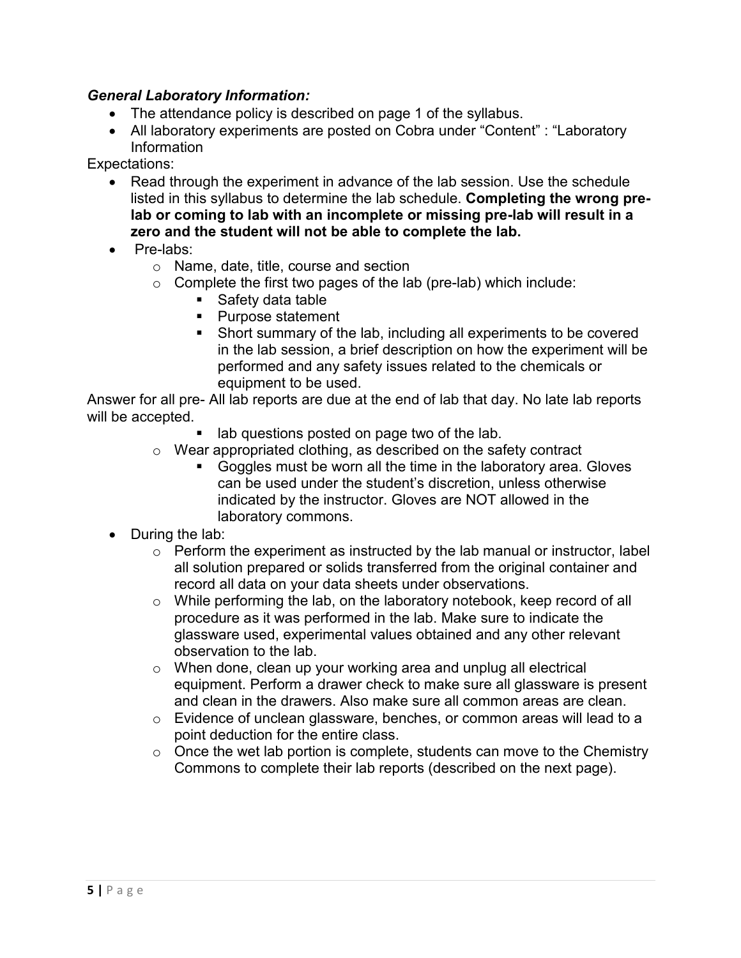#### *General Laboratory Information:*

- The attendance policy is described on page 1 of the syllabus.
- All laboratory experiments are posted on Cobra under "Content" : "Laboratory Information

Expectations:

- Read through the experiment in advance of the lab session. Use the schedule listed in this syllabus to determine the lab schedule. **Completing the wrong prelab or coming to lab with an incomplete or missing pre-lab will result in a zero and the student will not be able to complete the lab.**
- Pre-labs:
	- o Name, date, title, course and section
	- $\circ$  Complete the first two pages of the lab (pre-lab) which include:
		- **Safety data table**
		- Purpose statement
		- Short summary of the lab, including all experiments to be covered in the lab session, a brief description on how the experiment will be performed and any safety issues related to the chemicals or equipment to be used.

Answer for all pre- All lab reports are due at the end of lab that day. No late lab reports will be accepted.

- lab questions posted on page two of the lab.
- o Wear appropriated clothing, as described on the safety contract
	- Goggles must be worn all the time in the laboratory area. Gloves can be used under the student's discretion, unless otherwise indicated by the instructor. Gloves are NOT allowed in the laboratory commons.
- $\bullet$  During the lab:
	- $\circ$  Perform the experiment as instructed by the lab manual or instructor, label all solution prepared or solids transferred from the original container and record all data on your data sheets under observations.
	- o While performing the lab, on the laboratory notebook, keep record of all procedure as it was performed in the lab. Make sure to indicate the glassware used, experimental values obtained and any other relevant observation to the lab.
	- o When done, clean up your working area and unplug all electrical equipment. Perform a drawer check to make sure all glassware is present and clean in the drawers. Also make sure all common areas are clean.
	- o Evidence of unclean glassware, benches, or common areas will lead to a point deduction for the entire class.
	- $\circ$  Once the wet lab portion is complete, students can move to the Chemistry Commons to complete their lab reports (described on the next page).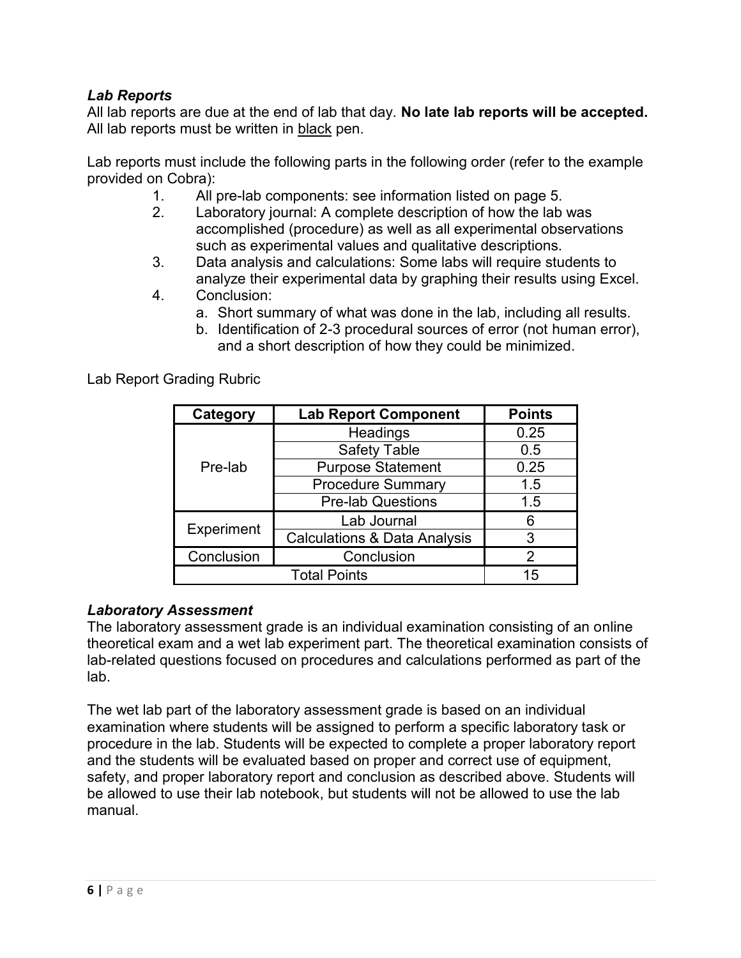## *Lab Reports*

All lab reports are due at the end of lab that day. **No late lab reports will be accepted.** All lab reports must be written in black pen.

Lab reports must include the following parts in the following order (refer to the example provided on Cobra):

- 1. All pre-lab components: see information listed on page 5.
- 2. Laboratory journal: A complete description of how the lab was accomplished (procedure) as well as all experimental observations such as experimental values and qualitative descriptions.
- 3. Data analysis and calculations: Some labs will require students to analyze their experimental data by graphing their results using Excel.
- 4. Conclusion:
	- a. Short summary of what was done in the lab, including all results.
		- b. Identification of 2-3 procedural sources of error (not human error), and a short description of how they could be minimized.

Lab Report Grading Rubric

| Category                  | <b>Lab Report Component</b>             | <b>Points</b> |  |
|---------------------------|-----------------------------------------|---------------|--|
|                           | Headings                                | 0.25          |  |
|                           | <b>Safety Table</b>                     | 0.5           |  |
| Pre-lab                   | <b>Purpose Statement</b>                | 0.25          |  |
|                           | <b>Procedure Summary</b>                | 1.5           |  |
|                           | <b>Pre-lab Questions</b>                | 1.5           |  |
| Experiment                | Lab Journal                             | 6             |  |
|                           | <b>Calculations &amp; Data Analysis</b> | 3             |  |
| Conclusion<br>Conclusion  |                                         | 2             |  |
| <b>Total Points</b><br>15 |                                         |               |  |

## *Laboratory Assessment*

The laboratory assessment grade is an individual examination consisting of an online theoretical exam and a wet lab experiment part. The theoretical examination consists of lab-related questions focused on procedures and calculations performed as part of the lab.

The wet lab part of the laboratory assessment grade is based on an individual examination where students will be assigned to perform a specific laboratory task or procedure in the lab. Students will be expected to complete a proper laboratory report and the students will be evaluated based on proper and correct use of equipment, safety, and proper laboratory report and conclusion as described above. Students will be allowed to use their lab notebook, but students will not be allowed to use the lab manual.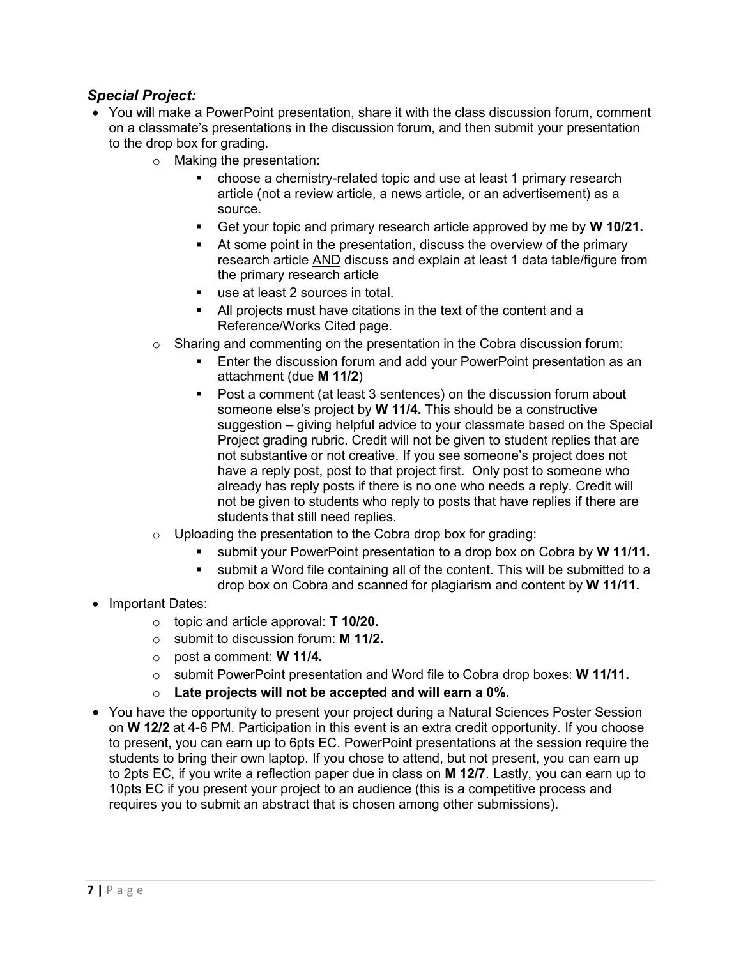#### *Special Project:*

- You will make a PowerPoint presentation, share it with the class discussion forum, comment on a classmate's presentations in the discussion forum, and then submit your presentation to the drop box for grading.
	- o Making the presentation:
		- choose a chemistry-related topic and use at least 1 primary research article (not a review article, a news article, or an advertisement) as a source.
		- Get your topic and primary research article approved by me by **W 10/21.**
		- At some point in the presentation, discuss the overview of the primary research article AND discuss and explain at least 1 data table/figure from the primary research article
		- use at least 2 sources in total.
		- All projects must have citations in the text of the content and a Reference/Works Cited page.
	- $\circ$  Sharing and commenting on the presentation in the Cobra discussion forum:
		- **Enter the discussion forum and add your PowerPoint presentation as an** attachment (due **M 11/2**)
		- Post a comment (at least 3 sentences) on the discussion forum about someone else's project by **W 11/4.** This should be a constructive suggestion – giving helpful advice to your classmate based on the Special Project grading rubric. Credit will not be given to student replies that are not substantive or not creative. If you see someone's project does not have a reply post, post to that project first. Only post to someone who already has reply posts if there is no one who needs a reply. Credit will not be given to students who reply to posts that have replies if there are students that still need replies.
	- $\circ$  Uploading the presentation to the Cobra drop box for grading:
		- submit your PowerPoint presentation to a drop box on Cobra by **W 11/11.**
		- submit a Word file containing all of the content. This will be submitted to a drop box on Cobra and scanned for plagiarism and content by **W 11/11.**
- Important Dates:
	- o topic and article approval: **T 10/20.**
	- o submit to discussion forum: **M 11/2.**
	- o post a comment: **W 11/4.**
	- o submit PowerPoint presentation and Word file to Cobra drop boxes: **W 11/11.**
	- o **Late projects will not be accepted and will earn a 0%.**
- You have the opportunity to present your project during a Natural Sciences Poster Session on **W 12/2** at 4-6 PM. Participation in this event is an extra credit opportunity. If you choose to present, you can earn up to 6pts EC. PowerPoint presentations at the session require the students to bring their own laptop. If you chose to attend, but not present, you can earn up to 2pts EC, if you write a reflection paper due in class on **M 12/7**. Lastly, you can earn up to 10pts EC if you present your project to an audience (this is a competitive process and requires you to submit an abstract that is chosen among other submissions).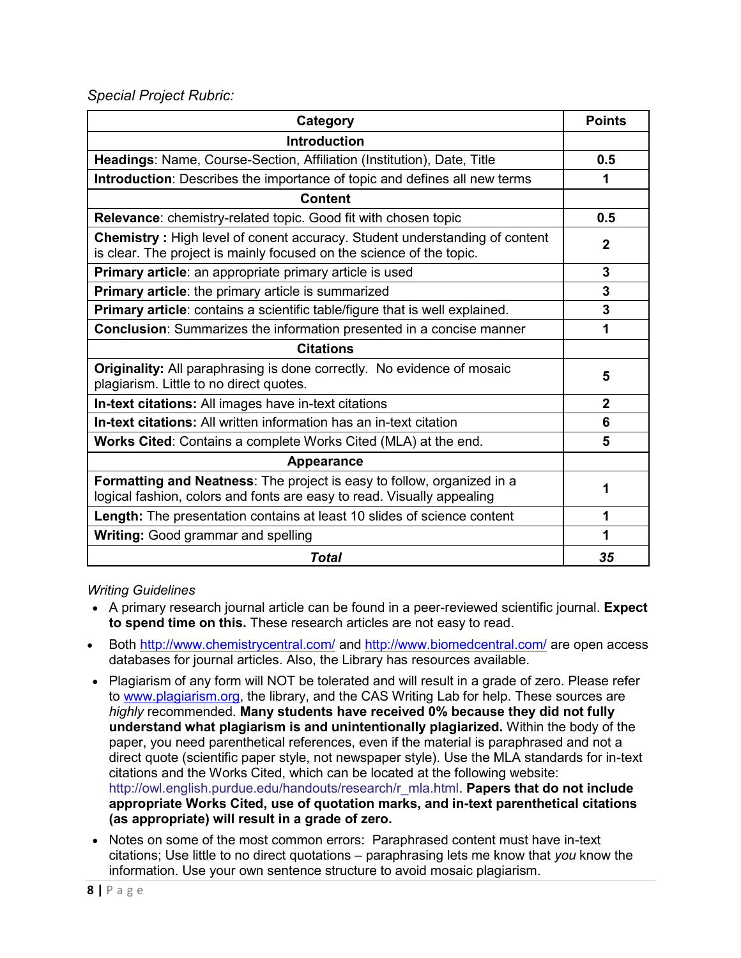*Special Project Rubric:*

| Category                                                                                                                                                  |                |  |  |  |
|-----------------------------------------------------------------------------------------------------------------------------------------------------------|----------------|--|--|--|
| <b>Introduction</b>                                                                                                                                       |                |  |  |  |
| Headings: Name, Course-Section, Affiliation (Institution), Date, Title                                                                                    | 0.5            |  |  |  |
| Introduction: Describes the importance of topic and defines all new terms                                                                                 | 1              |  |  |  |
| <b>Content</b>                                                                                                                                            |                |  |  |  |
| Relevance: chemistry-related topic. Good fit with chosen topic                                                                                            | 0.5            |  |  |  |
| <b>Chemistry:</b> High level of conent accuracy. Student understanding of content<br>is clear. The project is mainly focused on the science of the topic. | $\mathbf{2}$   |  |  |  |
| Primary article: an appropriate primary article is used                                                                                                   | 3              |  |  |  |
| Primary article: the primary article is summarized                                                                                                        | 3              |  |  |  |
| Primary article: contains a scientific table/figure that is well explained.                                                                               | 3              |  |  |  |
| <b>Conclusion:</b> Summarizes the information presented in a concise manner                                                                               |                |  |  |  |
| <b>Citations</b>                                                                                                                                          |                |  |  |  |
| <b>Originality:</b> All paraphrasing is done correctly. No evidence of mosaic<br>plagiarism. Little to no direct quotes.                                  | 5              |  |  |  |
| In-text citations: All images have in-text citations                                                                                                      | $\overline{2}$ |  |  |  |
| <b>In-text citations:</b> All written information has an in-text citation                                                                                 | 6              |  |  |  |
| <b>Works Cited:</b> Contains a complete Works Cited (MLA) at the end.                                                                                     |                |  |  |  |
| <b>Appearance</b>                                                                                                                                         |                |  |  |  |
| Formatting and Neatness: The project is easy to follow, organized in a<br>logical fashion, colors and fonts are easy to read. Visually appealing          | 1              |  |  |  |
| Length: The presentation contains at least 10 slides of science content                                                                                   | 1              |  |  |  |
| Writing: Good grammar and spelling                                                                                                                        | 1              |  |  |  |
| Total                                                                                                                                                     | 35             |  |  |  |

*Writing Guidelines* 

- A primary research journal article can be found in a peer-reviewed scientific journal. **Expect to spend time on this.** These research articles are not easy to read.
- Both<http://www.chemistrycentral.com/> and<http://www.biomedcentral.com/> are open access databases for journal articles. Also, the Library has resources available.
- Plagiarism of any form will NOT be tolerated and will result in a grade of zero. Please refer to [www.plagiarism.org,](http://www.plagiarism.org/) the library, and the CAS Writing Lab for help. These sources are *highly* recommended. **Many students have received 0% because they did not fully understand what plagiarism is and unintentionally plagiarized.** Within the body of the paper, you need parenthetical references, even if the material is paraphrased and not a direct quote (scientific paper style, not newspaper style). Use the MLA standards for in-text citations and the Works Cited, which can be located at the following website: [http://owl.english.purdue.edu/handouts/research/r\\_mla.html.](http://owl.english.purdue.edu/handouts/research/r_mla.html) **Papers that do not include appropriate Works Cited, use of quotation marks, and in-text parenthetical citations (as appropriate) will result in a grade of zero.**
- Notes on some of the most common errors: Paraphrased content must have in-text citations; Use little to no direct quotations – paraphrasing lets me know that *you* know the information. Use your own sentence structure to avoid mosaic plagiarism.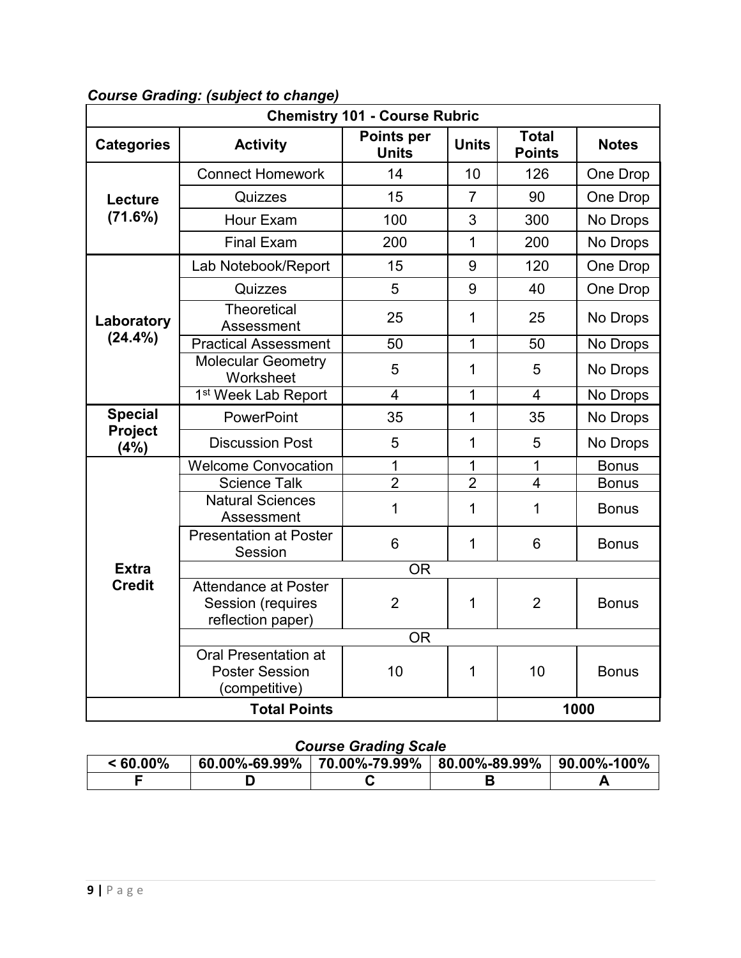| <b>Chemistry 101 - Course Rubric</b> |                                                                       |                               |                |                |              |
|--------------------------------------|-----------------------------------------------------------------------|-------------------------------|----------------|----------------|--------------|
| <b>Categories</b>                    | <b>Activity</b>                                                       | <b>Total</b><br><b>Points</b> | <b>Notes</b>   |                |              |
|                                      | <b>Connect Homework</b>                                               | 14                            | 10             | 126            | One Drop     |
| Lecture                              | Quizzes                                                               | 15                            | $\overline{7}$ | 90             | One Drop     |
| (71.6%)                              | Hour Exam                                                             | 100                           | 3              | 300            | No Drops     |
|                                      | <b>Final Exam</b>                                                     | 200                           | $\mathbf{1}$   | 200            | No Drops     |
|                                      | Lab Notebook/Report                                                   | 15                            | 9              | 120            | One Drop     |
|                                      | Quizzes                                                               | 5                             | 9              | 40             | One Drop     |
| Laboratory                           | <b>Theoretical</b><br>Assessment                                      | 25                            | $\mathbf{1}$   | 25             | No Drops     |
| $(24.4\%)$                           | <b>Practical Assessment</b>                                           | 50                            | $\mathbf 1$    | 50             | No Drops     |
|                                      | <b>Molecular Geometry</b><br>Worksheet                                | 5                             | 1              | 5              | No Drops     |
|                                      | 1 <sup>st</sup> Week Lab Report                                       | $\overline{4}$                | 1              | 4              | No Drops     |
| <b>Special</b>                       | PowerPoint                                                            | 35                            | $\overline{1}$ | 35             | No Drops     |
| <b>Project</b><br>(4%)               | <b>Discussion Post</b>                                                | 5                             | 1              | 5              | No Drops     |
|                                      | <b>Welcome Convocation</b>                                            | 1                             | 1              | 1              | <b>Bonus</b> |
|                                      | <b>Science Talk</b>                                                   | $\overline{2}$                | $\overline{2}$ | $\overline{4}$ | <b>Bonus</b> |
|                                      | Natural Sciences<br>Assessment                                        | 1                             | $\mathbf 1$    | 1              | <b>Bonus</b> |
|                                      | <b>Presentation at Poster</b><br>Session                              | 6                             | 1              | 6              | <b>Bonus</b> |
| <b>Extra</b>                         |                                                                       | <b>OR</b>                     |                |                |              |
| <b>Credit</b>                        | <b>Attendance at Poster</b><br>Session (requires<br>reflection paper) | $\overline{2}$                | 1              | $\overline{2}$ | <b>Bonus</b> |
|                                      |                                                                       | <b>OR</b>                     |                |                |              |
|                                      | <b>Oral Presentation at</b><br><b>Poster Session</b><br>(competitive) | 10                            | $\mathbf 1$    | 10             | <b>Bonus</b> |
| 1000<br><b>Total Points</b>          |                                                                       |                               |                |                |              |

## *Course Grading: (subject to change)*

## *Course Grading Scale*

| $< 60.00\%$ | $60.00\% - 69.99\%$ | $\mid$ 70.00%-79.99% $\mid$ 80.00%-89.99% $\mid$ 90.00%-100% |  |
|-------------|---------------------|--------------------------------------------------------------|--|
|             |                     |                                                              |  |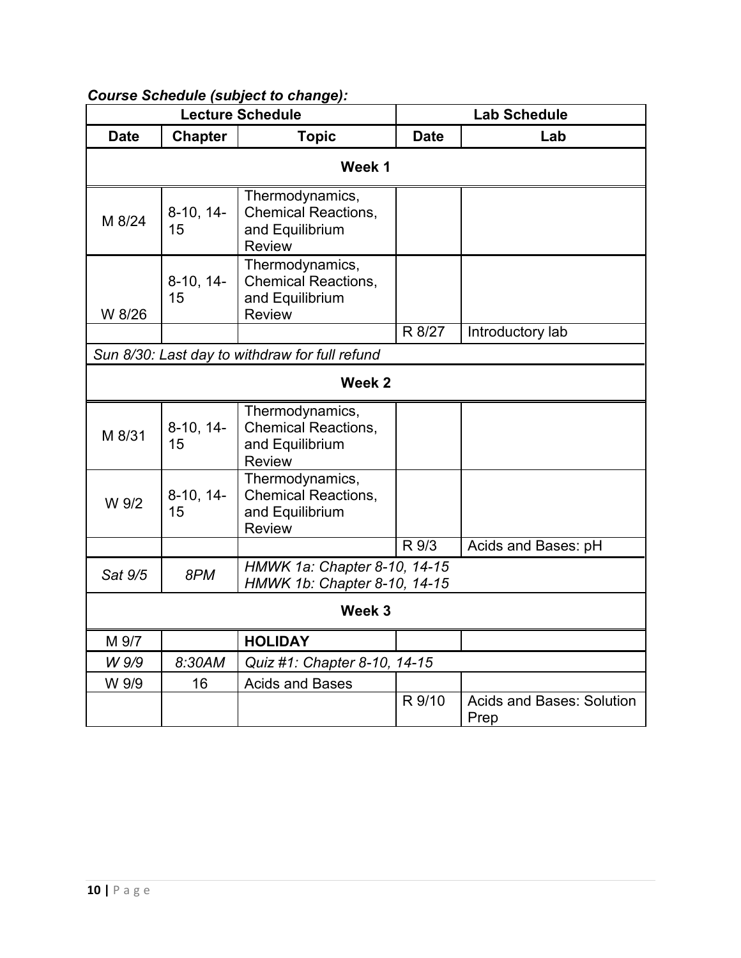| <b>Lecture Schedule</b> |                   | <b>Lab Schedule</b>                                                               |             |                                          |  |
|-------------------------|-------------------|-----------------------------------------------------------------------------------|-------------|------------------------------------------|--|
| <b>Date</b>             | <b>Chapter</b>    | <b>Topic</b>                                                                      | <b>Date</b> | Lab                                      |  |
| Week 1                  |                   |                                                                                   |             |                                          |  |
| M 8/24                  | $8-10, 14-$<br>15 | Thermodynamics,<br><b>Chemical Reactions,</b><br>and Equilibrium<br><b>Review</b> |             |                                          |  |
| W 8/26                  | $8-10, 14-$<br>15 | Thermodynamics,<br><b>Chemical Reactions,</b><br>and Equilibrium<br><b>Review</b> |             |                                          |  |
|                         |                   |                                                                                   | R 8/27      | Introductory lab                         |  |
|                         |                   | Sun 8/30: Last day to withdraw for full refund                                    |             |                                          |  |
|                         |                   | Week <sub>2</sub>                                                                 |             |                                          |  |
| M 8/31                  | $8-10, 14-$<br>15 | Thermodynamics,<br><b>Chemical Reactions,</b><br>and Equilibrium<br><b>Review</b> |             |                                          |  |
| W 9/2                   | $8-10, 14-$<br>15 | Thermodynamics,<br><b>Chemical Reactions,</b><br>and Equilibrium<br><b>Review</b> |             |                                          |  |
|                         |                   |                                                                                   | R 9/3       | Acids and Bases: pH                      |  |
| Sat 9/5                 | 8PM               | HMWK 1a: Chapter 8-10, 14-15<br>HMWK 1b: Chapter 8-10, 14-15                      |             |                                          |  |
| Week 3                  |                   |                                                                                   |             |                                          |  |
| M 9/7                   |                   | <b>HOLIDAY</b>                                                                    |             |                                          |  |
| W 9/9                   | 8:30AM            | Quiz #1: Chapter 8-10, 14-15                                                      |             |                                          |  |
| W 9/9                   | 16                | <b>Acids and Bases</b>                                                            |             |                                          |  |
|                         |                   |                                                                                   | R 9/10      | <b>Acids and Bases: Solution</b><br>Prep |  |

# *Course Schedule (subject to change):*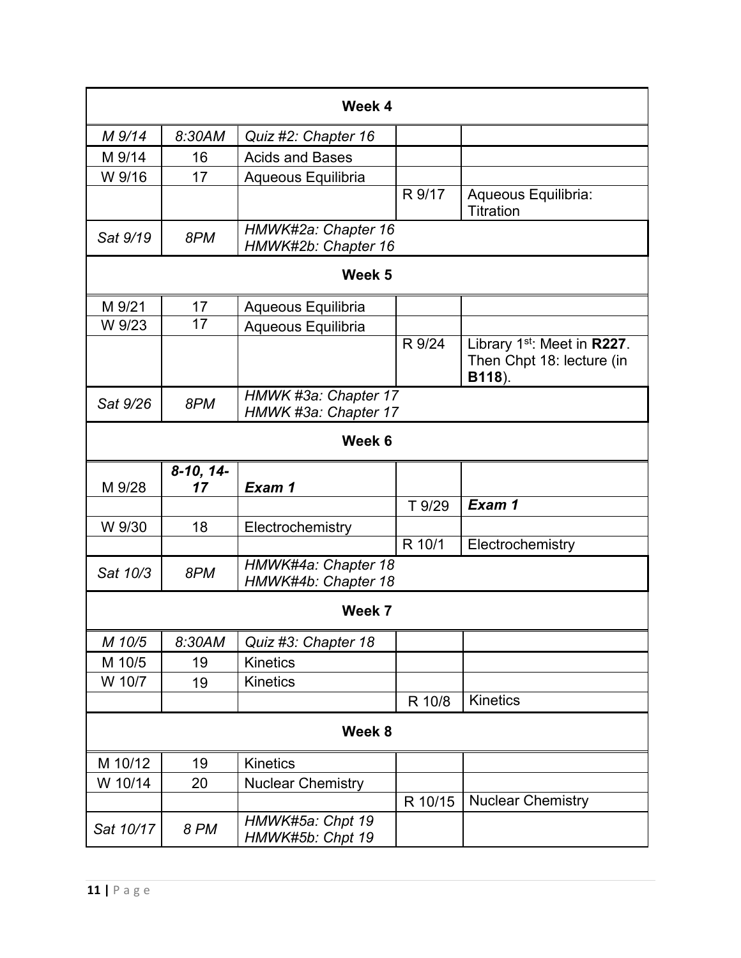| Week 4    |                   |                                              |         |                                                                                |
|-----------|-------------------|----------------------------------------------|---------|--------------------------------------------------------------------------------|
| M 9/14    | 8:30AM            | Quiz #2: Chapter 16                          |         |                                                                                |
| M 9/14    | 16                | <b>Acids and Bases</b>                       |         |                                                                                |
| W 9/16    | 17                | Aqueous Equilibria                           |         |                                                                                |
|           |                   |                                              | R 9/17  | Aqueous Equilibria:<br>Titration                                               |
| Sat 9/19  | 8PM               | HMWK#2a: Chapter 16<br>HMWK#2b: Chapter 16   |         |                                                                                |
|           |                   | Week 5                                       |         |                                                                                |
| M 9/21    | 17                | Aqueous Equilibria                           |         |                                                                                |
| W 9/23    | 17                | Aqueous Equilibria                           |         |                                                                                |
|           |                   |                                              | R 9/24  | Library 1 <sup>st</sup> : Meet in R227.<br>Then Chpt 18: lecture (in<br>B118). |
| Sat 9/26  | 8PM               | HMWK #3a: Chapter 17<br>HMWK #3a: Chapter 17 |         |                                                                                |
|           |                   | Week 6                                       |         |                                                                                |
| M 9/28    | $8-10, 14-$<br>17 | Exam 1                                       |         |                                                                                |
|           |                   |                                              | T 9/29  | Exam 1                                                                         |
| W 9/30    | 18                | Electrochemistry                             |         |                                                                                |
|           |                   |                                              | R 10/1  | Electrochemistry                                                               |
| Sat 10/3  | 8PM               | HMWK#4a: Chapter 18<br>HMWK#4b: Chapter 18   |         |                                                                                |
|           |                   | Week 7                                       |         |                                                                                |
| M 10/5    | 8:30AM            | Quiz #3: Chapter 18                          |         |                                                                                |
| M 10/5    | 19                | <b>Kinetics</b>                              |         |                                                                                |
| W 10/7    | 19                | <b>Kinetics</b>                              |         |                                                                                |
|           |                   |                                              | R 10/8  | <b>Kinetics</b>                                                                |
| Week 8    |                   |                                              |         |                                                                                |
| M 10/12   | 19                | <b>Kinetics</b>                              |         |                                                                                |
| W 10/14   | 20                | <b>Nuclear Chemistry</b>                     |         |                                                                                |
|           |                   |                                              | R 10/15 | <b>Nuclear Chemistry</b>                                                       |
| Sat 10/17 | 8 PM              | HMWK#5a: Chpt 19<br>HMWK#5b: Chpt 19         |         |                                                                                |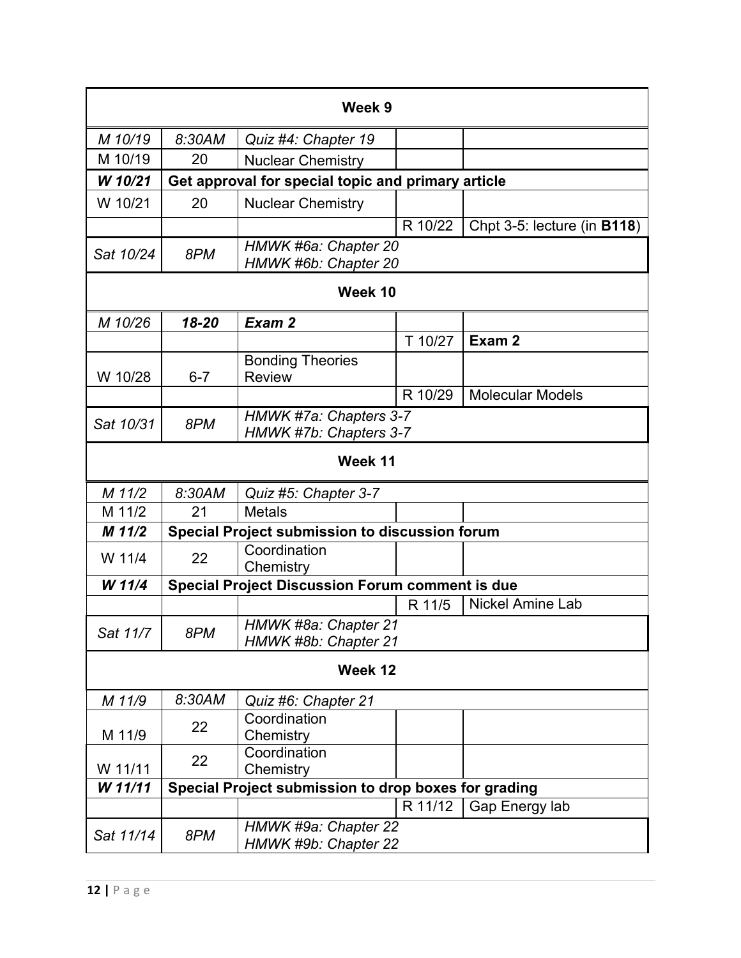|           |                                                         | Week 9                                                 |         |                             |  |
|-----------|---------------------------------------------------------|--------------------------------------------------------|---------|-----------------------------|--|
| M 10/19   | 8:30AM                                                  | Quiz #4: Chapter 19                                    |         |                             |  |
| M 10/19   | 20                                                      | <b>Nuclear Chemistry</b>                               |         |                             |  |
| W 10/21   |                                                         | Get approval for special topic and primary article     |         |                             |  |
| W 10/21   | 20                                                      | <b>Nuclear Chemistry</b>                               |         |                             |  |
|           |                                                         |                                                        | R 10/22 | Chpt 3-5: lecture (in B118) |  |
| Sat 10/24 | 8PM                                                     | HMWK #6a: Chapter 20<br>HMWK #6b: Chapter 20           |         |                             |  |
|           |                                                         | Week 10                                                |         |                             |  |
| M 10/26   | 18-20                                                   | Exam 2                                                 |         |                             |  |
|           |                                                         |                                                        | T 10/27 | Exam 2                      |  |
| W 10/28   | $6 - 7$                                                 | <b>Bonding Theories</b><br><b>Review</b>               |         |                             |  |
|           |                                                         |                                                        | R 10/29 | <b>Molecular Models</b>     |  |
| Sat 10/31 | HMWK #7a: Chapters 3-7<br>8PM<br>HMWK #7b: Chapters 3-7 |                                                        |         |                             |  |
|           |                                                         | Week 11                                                |         |                             |  |
| M 11/2    | 8:30AM                                                  | Quiz #5: Chapter 3-7                                   |         |                             |  |
| M 11/2    | 21                                                      | <b>Metals</b>                                          |         |                             |  |
| M 11/2    |                                                         | Special Project submission to discussion forum         |         |                             |  |
| W 11/4    | 22                                                      | Coordination<br>Chemistry                              |         |                             |  |
| W 11/4    |                                                         | <b>Special Project Discussion Forum comment is due</b> |         |                             |  |
|           |                                                         |                                                        | R 11/5  | <b>Nickel Amine Lab</b>     |  |
| Sat 11/7  | 8PM                                                     | HMWK #8a: Chapter 21<br>HMWK #8b: Chapter 21           |         |                             |  |
|           | Week 12                                                 |                                                        |         |                             |  |
| M 11/9    | 8:30AM                                                  | Quiz #6: Chapter 21                                    |         |                             |  |
| M 11/9    | 22                                                      | Coordination<br>Chemistry                              |         |                             |  |
| W 11/11   | 22                                                      | Coordination<br>Chemistry                              |         |                             |  |
| W 11/11   | Special Project submission to drop boxes for grading    |                                                        |         |                             |  |
|           |                                                         |                                                        | R 11/12 | Gap Energy lab              |  |
| Sat 11/14 | 8PM                                                     | HMWK #9a: Chapter 22<br>HMWK #9b: Chapter 22           |         |                             |  |